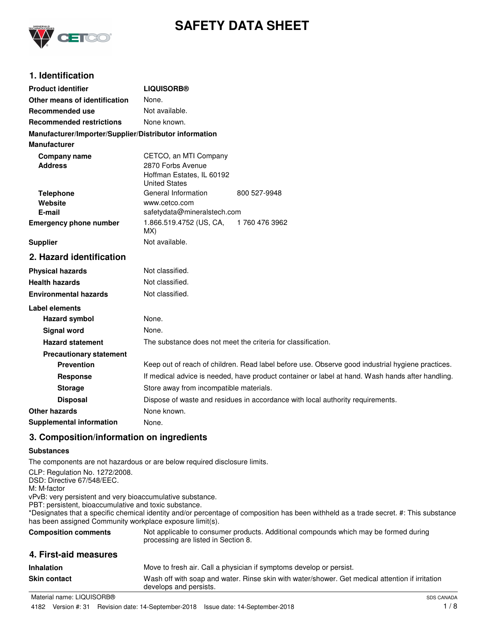

# **SAFETY DATA SHEET**

## **1. Identification**

| <b>Product identifier</b>                              | <b>LIQUISORB®</b>                                                                               |                                                                                                  |
|--------------------------------------------------------|-------------------------------------------------------------------------------------------------|--------------------------------------------------------------------------------------------------|
| Other means of identification                          | None.                                                                                           |                                                                                                  |
| <b>Recommended use</b>                                 | Not available.                                                                                  |                                                                                                  |
| <b>Recommended restrictions</b>                        | None known.                                                                                     |                                                                                                  |
| Manufacturer/Importer/Supplier/Distributor information |                                                                                                 |                                                                                                  |
| <b>Manufacturer</b>                                    |                                                                                                 |                                                                                                  |
| <b>Company name</b><br><b>Address</b>                  | CETCO, an MTI Company<br>2870 Forbs Avenue<br>Hoffman Estates, IL 60192<br><b>United States</b> |                                                                                                  |
| <b>Telephone</b>                                       | General Information                                                                             | 800 527-9948                                                                                     |
| Website                                                | www.cetco.com                                                                                   |                                                                                                  |
| E-mail                                                 | safetydata@mineralstech.com                                                                     | 1760 476 3962                                                                                    |
| <b>Emergency phone number</b>                          | 1.866.519.4752 (US, CA,<br>MX)                                                                  |                                                                                                  |
| <b>Supplier</b>                                        | Not available.                                                                                  |                                                                                                  |
| 2. Hazard identification                               |                                                                                                 |                                                                                                  |
| <b>Physical hazards</b>                                | Not classified.                                                                                 |                                                                                                  |
| <b>Health hazards</b>                                  | Not classified.                                                                                 |                                                                                                  |
| <b>Environmental hazards</b>                           | Not classified.                                                                                 |                                                                                                  |
| <b>Label elements</b>                                  |                                                                                                 |                                                                                                  |
| <b>Hazard symbol</b>                                   | None.                                                                                           |                                                                                                  |
| <b>Signal word</b>                                     | None.                                                                                           |                                                                                                  |
| <b>Hazard statement</b>                                | The substance does not meet the criteria for classification.                                    |                                                                                                  |
| <b>Precautionary statement</b>                         |                                                                                                 |                                                                                                  |
| <b>Prevention</b>                                      |                                                                                                 | Keep out of reach of children. Read label before use. Observe good industrial hygiene practices. |
| <b>Response</b>                                        |                                                                                                 | If medical advice is needed, have product container or label at hand. Wash hands after handling. |
| <b>Storage</b>                                         | Store away from incompatible materials.                                                         |                                                                                                  |
| <b>Disposal</b>                                        |                                                                                                 | Dispose of waste and residues in accordance with local authority requirements.                   |
| <b>Other hazards</b>                                   | None known.                                                                                     |                                                                                                  |
| <b>Supplemental information</b>                        | None.                                                                                           |                                                                                                  |

## **3. Composition/information on ingredients**

### **Substances**

The components are not hazardous or are below required disclosure limits.

CLP: Regulation No. 1272/2008. DSD: Directive 67/548/EEC. M: M-factor vPvB: very persistent and very bioaccumulative substance. PBT: persistent, bioaccumulative and toxic substance. \*Designates that a specific chemical identity and/or percentage of composition has been withheld as a trade secret. #: This substance has been assigned Community workplace exposure limit(s). Not applicable to consumer products. Additional compounds which may be formed during processing are listed in Section 8. **Composition comments 4. First-aid measures Inhalation** Move to fresh air. Call a physician if symptoms develop or persist. Wash off with soap and water. Rinse skin with water/shower. Get medical attention if irritation develops and persists. **Skin contact**

Material name: LIQUISORB®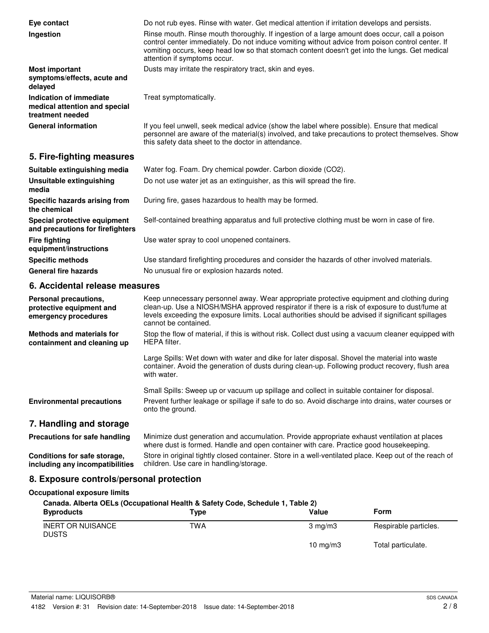| Eye contact<br>Ingestion                                                     | Do not rub eyes. Rinse with water. Get medical attention if irritation develops and persists.<br>Rinse mouth. Rinse mouth thoroughly. If ingestion of a large amount does occur, call a poison<br>control center immediately. Do not induce vomiting without advice from poison control center. If<br>vomiting occurs, keep head low so that stomach content doesn't get into the lungs. Get medical<br>attention if symptoms occur. |
|------------------------------------------------------------------------------|--------------------------------------------------------------------------------------------------------------------------------------------------------------------------------------------------------------------------------------------------------------------------------------------------------------------------------------------------------------------------------------------------------------------------------------|
| <b>Most important</b><br>symptoms/effects, acute and<br>delayed              | Dusts may irritate the respiratory tract, skin and eyes.                                                                                                                                                                                                                                                                                                                                                                             |
| Indication of immediate<br>medical attention and special<br>treatment needed | Treat symptomatically.                                                                                                                                                                                                                                                                                                                                                                                                               |
| <b>General information</b>                                                   | If you feel unwell, seek medical advice (show the label where possible). Ensure that medical<br>personnel are aware of the material(s) involved, and take precautions to protect themselves. Show<br>this safety data sheet to the doctor in attendance.                                                                                                                                                                             |

## **5. Fire-fighting measures**

| Suitable extinguishing media                                     | Water fog. Foam. Dry chemical powder. Carbon dioxide (CO2).                                   |
|------------------------------------------------------------------|-----------------------------------------------------------------------------------------------|
| Unsuitable extinguishing<br>media                                | Do not use water jet as an extinguisher, as this will spread the fire.                        |
| Specific hazards arising from<br>the chemical                    | During fire, gases hazardous to health may be formed.                                         |
| Special protective equipment<br>and precautions for firefighters | Self-contained breathing apparatus and full protective clothing must be worn in case of fire. |
| <b>Fire fighting</b><br>equipment/instructions                   | Use water spray to cool unopened containers.                                                  |
| <b>Specific methods</b>                                          | Use standard firefighting procedures and consider the hazards of other involved materials.    |
| <b>General fire hazards</b>                                      | No unusual fire or explosion hazards noted.                                                   |

## **6. Accidental release measures**

| Personal precautions.<br>protective equipment and<br>emergency procedures | Keep unnecessary personnel away. Wear appropriate protective equipment and clothing during<br>clean-up. Use a NIOSH/MSHA approved respirator if there is a risk of exposure to dust/fume at<br>levels exceeding the exposure limits. Local authorities should be advised if significant spillages<br>cannot be contained. |
|---------------------------------------------------------------------------|---------------------------------------------------------------------------------------------------------------------------------------------------------------------------------------------------------------------------------------------------------------------------------------------------------------------------|
| Methods and materials for<br>containment and cleaning up                  | Stop the flow of material, if this is without risk. Collect dust using a vacuum cleaner equipped with<br>HEPA filter.                                                                                                                                                                                                     |
|                                                                           | Large Spills: Wet down with water and dike for later disposal. Shovel the material into waste<br>container. Avoid the generation of dusts during clean-up. Following product recovery, flush area<br>with water.                                                                                                          |
|                                                                           | Small Spills: Sweep up or vacuum up spillage and collect in suitable container for disposal.                                                                                                                                                                                                                              |
| <b>Environmental precautions</b>                                          | Prevent further leakage or spillage if safe to do so. Avoid discharge into drains, water courses or<br>onto the ground.                                                                                                                                                                                                   |
| 7. Handling and storage                                                   |                                                                                                                                                                                                                                                                                                                           |
| Precautions for safe handling                                             | Minimize dust generation and accumulation. Provide appropriate exhaust ventilation at places<br>where dust is formed. Handle and open container with care. Practice good housekeeping.                                                                                                                                    |

Store in original tightly closed container. Store in a well-ventilated place. Keep out of the reach of children. Use care in handling/storage. **Conditions for safe storage, including any incompatibilities**

## **8. Exposure controls/personal protection**

## **Occupational exposure limits**

| Canada. Alberta OELs (Occupational Health & Safety Code, Schedule 1, Table 2) |      |                  |                       |
|-------------------------------------------------------------------------------|------|------------------|-----------------------|
| <b>Byproducts</b>                                                             | Type | Value            | Form                  |
| <b>INERT OR NUISANCE</b><br><b>DUSTS</b>                                      | TWA  | $3 \text{ ma/m}$ | Respirable particles. |
|                                                                               |      | 10 $mq/m3$       | Total particulate.    |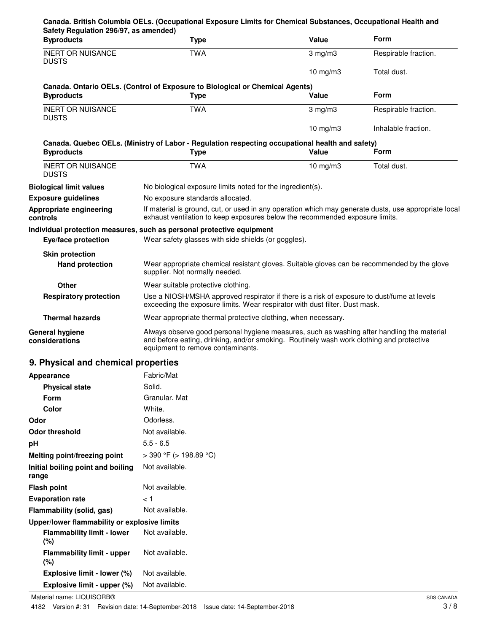| Safety Regulation 296/97, as amended)<br><b>Byproducts</b>                        | <b>Type</b>                                                                                                                                                                                                                 | Value            | Form                 |
|-----------------------------------------------------------------------------------|-----------------------------------------------------------------------------------------------------------------------------------------------------------------------------------------------------------------------------|------------------|----------------------|
| <b>INERT OR NUISANCE</b><br><b>DUSTS</b>                                          | <b>TWA</b>                                                                                                                                                                                                                  | $3$ mg/m $3$     | Respirable fraction. |
|                                                                                   |                                                                                                                                                                                                                             | 10 $mg/m3$       | Total dust.          |
| <b>Byproducts</b>                                                                 | Canada. Ontario OELs. (Control of Exposure to Biological or Chemical Agents)<br><b>Type</b>                                                                                                                                 | Value            | <b>Form</b>          |
| <b>INERT OR NUISANCE</b><br><b>DUSTS</b>                                          | <b>TWA</b>                                                                                                                                                                                                                  | $3 \text{ mg/m}$ | Respirable fraction. |
|                                                                                   |                                                                                                                                                                                                                             | 10 $mg/m3$       | Inhalable fraction.  |
| <b>Byproducts</b>                                                                 | Canada. Quebec OELs. (Ministry of Labor - Regulation respecting occupational health and safety)<br><b>Type</b>                                                                                                              | Value            | Form                 |
| <b>INERT OR NUISANCE</b><br><b>DUSTS</b>                                          | <b>TWA</b>                                                                                                                                                                                                                  | 10 $mg/m3$       | Total dust.          |
| <b>Biological limit values</b>                                                    | No biological exposure limits noted for the ingredient(s).                                                                                                                                                                  |                  |                      |
| <b>Exposure guidelines</b>                                                        | No exposure standards allocated.                                                                                                                                                                                            |                  |                      |
| Appropriate engineering<br>controls                                               | If material is ground, cut, or used in any operation which may generate dusts, use appropriate local<br>exhaust ventilation to keep exposures below the recommended exposure limits.                                        |                  |                      |
|                                                                                   | Individual protection measures, such as personal protective equipment                                                                                                                                                       |                  |                      |
| Eye/face protection                                                               | Wear safety glasses with side shields (or goggles).                                                                                                                                                                         |                  |                      |
| <b>Skin protection</b>                                                            |                                                                                                                                                                                                                             |                  |                      |
| <b>Hand protection</b>                                                            | Wear appropriate chemical resistant gloves. Suitable gloves can be recommended by the glove<br>supplier. Not normally needed.                                                                                               |                  |                      |
| Other                                                                             | Wear suitable protective clothing.                                                                                                                                                                                          |                  |                      |
| <b>Respiratory protection</b>                                                     | Use a NIOSH/MSHA approved respirator if there is a risk of exposure to dust/fume at levels<br>exceeding the exposure limits. Wear respirator with dust filter. Dust mask.                                                   |                  |                      |
| <b>Thermal hazards</b>                                                            | Wear appropriate thermal protective clothing, when necessary.                                                                                                                                                               |                  |                      |
| <b>General hygiene</b><br>considerations                                          | Always observe good personal hygiene measures, such as washing after handling the material<br>and before eating, drinking, and/or smoking. Routinely wash work clothing and protective<br>equipment to remove contaminants. |                  |                      |
| 9. Physical and chemical properties                                               |                                                                                                                                                                                                                             |                  |                      |
| Appearance                                                                        | Fabric/Mat                                                                                                                                                                                                                  |                  |                      |
| <b>Physical state</b>                                                             | Solid.                                                                                                                                                                                                                      |                  |                      |
| Form                                                                              | Granular. Mat                                                                                                                                                                                                               |                  |                      |
| <b>Color</b>                                                                      | White.                                                                                                                                                                                                                      |                  |                      |
| Odor                                                                              | Odorless.                                                                                                                                                                                                                   |                  |                      |
| <b>Odor threshold</b>                                                             | Not available.                                                                                                                                                                                                              |                  |                      |
| pH                                                                                | $5.5 - 6.5$                                                                                                                                                                                                                 |                  |                      |
| <b>Melting point/freezing point</b>                                               | $>$ 390 °F ( $>$ 198.89 °C)                                                                                                                                                                                                 |                  |                      |
| Initial boiling point and boiling<br>range                                        | Not available.                                                                                                                                                                                                              |                  |                      |
| <b>Flash point</b>                                                                | Not available.                                                                                                                                                                                                              |                  |                      |
| <b>Evaporation rate</b>                                                           | ا >                                                                                                                                                                                                                         |                  |                      |
| Flammability (solid, gas)                                                         | Not available.                                                                                                                                                                                                              |                  |                      |
| Upper/lower flammability or explosive limits<br><b>Flammability limit - lower</b> | Not available.                                                                                                                                                                                                              |                  |                      |
| (%)<br><b>Flammability limit - upper</b><br>$(\%)$                                | Not available.                                                                                                                                                                                                              |                  |                      |
| Explosive limit - lower (%)                                                       | Not available.                                                                                                                                                                                                              |                  |                      |
| Explosive limit - upper (%)                                                       | Not available.                                                                                                                                                                                                              |                  |                      |
|                                                                                   |                                                                                                                                                                                                                             |                  |                      |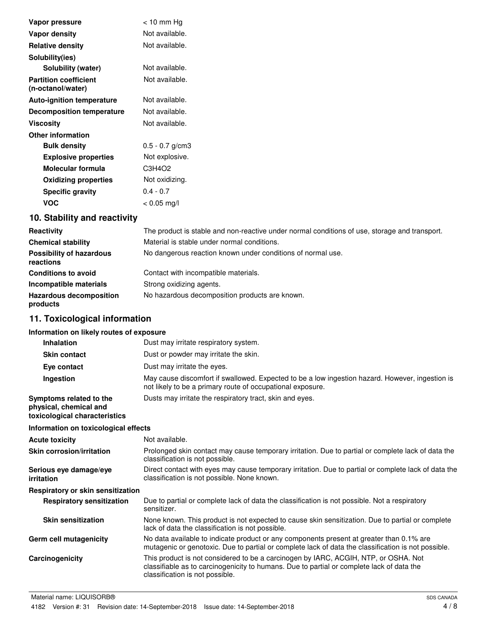| Vapor pressure                                    | $<$ 10 mm Hg      |
|---------------------------------------------------|-------------------|
| Vapor density                                     | Not available.    |
| <b>Relative density</b>                           | Not available.    |
| Solubility(ies)                                   |                   |
| Solubility (water)                                | Not available.    |
| <b>Partition coefficient</b><br>(n-octanol/water) | Not available.    |
| <b>Auto-ignition temperature</b>                  | Not available.    |
| <b>Decomposition temperature</b>                  | Not available.    |
| <b>Viscosity</b>                                  | Not available.    |
| <b>Other information</b>                          |                   |
| <b>Bulk density</b>                               | $0.5 - 0.7$ g/cm3 |
| <b>Explosive properties</b>                       | Not explosive.    |
| Molecular formula                                 | C3H4O2            |
| <b>Oxidizing properties</b>                       | Not oxidizing.    |
| <b>Specific gravity</b>                           | $0.4 - 0.7$       |
| <b>VOC</b>                                        | $< 0.05$ mg/l     |

# **10. Stability and reactivity**

| Reactivity                                   | The product is stable and non-reactive under normal conditions of use, storage and transport. |
|----------------------------------------------|-----------------------------------------------------------------------------------------------|
| <b>Chemical stability</b>                    | Material is stable under normal conditions.                                                   |
| <b>Possibility of hazardous</b><br>reactions | No dangerous reaction known under conditions of normal use.                                   |
| <b>Conditions to avoid</b>                   | Contact with incompatible materials.                                                          |
| Incompatible materials                       | Strong oxidizing agents.                                                                      |
| <b>Hazardous decomposition</b><br>products   | No hazardous decomposition products are known.                                                |

# **11. Toxicological information**

## **Information on likely routes of exposure**

| <b>Inhalation</b>     |                                                                                    | Dust may irritate respiratory system.                                                                                                                                                                               |
|-----------------------|------------------------------------------------------------------------------------|---------------------------------------------------------------------------------------------------------------------------------------------------------------------------------------------------------------------|
|                       | <b>Skin contact</b>                                                                | Dust or powder may irritate the skin.                                                                                                                                                                               |
|                       | Eye contact                                                                        | Dust may irritate the eyes.                                                                                                                                                                                         |
| Ingestion             |                                                                                    | May cause discomfort if swallowed. Expected to be a low ingestion hazard. However, ingestion is<br>not likely to be a primary route of occupational exposure.                                                       |
|                       | Symptoms related to the<br>physical, chemical and<br>toxicological characteristics | Dusts may irritate the respiratory tract, skin and eyes.                                                                                                                                                            |
|                       | Information on toxicological effects                                               |                                                                                                                                                                                                                     |
| <b>Acute toxicity</b> |                                                                                    | Not available.                                                                                                                                                                                                      |
|                       | <b>Skin corrosion/irritation</b>                                                   | Prolonged skin contact may cause temporary irritation. Due to partial or complete lack of data the<br>classification is not possible.                                                                               |
| irritation            | Serious eye damage/eye                                                             | Direct contact with eyes may cause temporary irritation. Due to partial or complete lack of data the<br>classification is not possible. None known.                                                                 |
|                       | Respiratory or skin sensitization                                                  |                                                                                                                                                                                                                     |
|                       | <b>Respiratory sensitization</b>                                                   | Due to partial or complete lack of data the classification is not possible. Not a respiratory<br>sensitizer.                                                                                                        |
|                       | <b>Skin sensitization</b>                                                          | None known. This product is not expected to cause skin sensitization. Due to partial or complete<br>lack of data the classification is not possible.                                                                |
|                       | Germ cell mutagenicity                                                             | No data available to indicate product or any components present at greater than 0.1% are<br>mutagenic or genotoxic. Due to partial or complete lack of data the classification is not possible.                     |
| Carcinogenicity       |                                                                                    | This product is not considered to be a carcinogen by IARC, ACGIH, NTP, or OSHA. Not<br>classifiable as to carcinogenicity to humans. Due to partial or complete lack of data the<br>classification is not possible. |
|                       |                                                                                    |                                                                                                                                                                                                                     |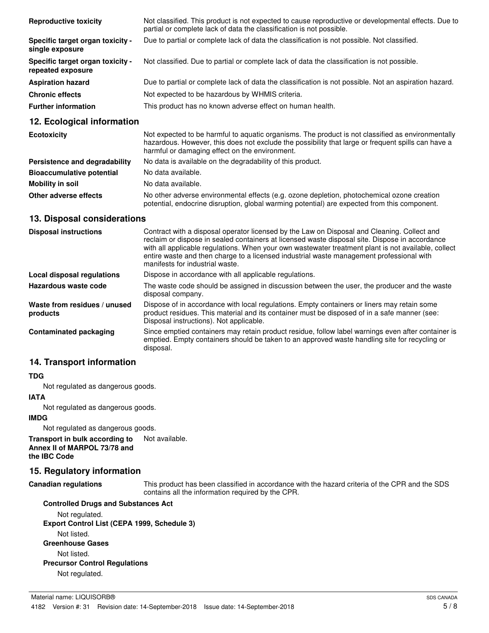| <b>Reproductive toxicity</b>                          | Not classified. This product is not expected to cause reproductive or developmental effects. Due to<br>partial or complete lack of data the classification is not possible. |
|-------------------------------------------------------|-----------------------------------------------------------------------------------------------------------------------------------------------------------------------------|
| Specific target organ toxicity -<br>single exposure   | Due to partial or complete lack of data the classification is not possible. Not classified.                                                                                 |
| Specific target organ toxicity -<br>repeated exposure | Not classified. Due to partial or complete lack of data the classification is not possible.                                                                                 |
| <b>Aspiration hazard</b>                              | Due to partial or complete lack of data the classification is not possible. Not an aspiration hazard.                                                                       |
| <b>Chronic effects</b>                                | Not expected to be hazardous by WHMIS criteria.                                                                                                                             |
| <b>Further information</b>                            | This product has no known adverse effect on human health.                                                                                                                   |

## **12. Ecological information**

| <b>Ecotoxicity</b>               | Not expected to be harmful to aquatic organisms. The product is not classified as environmentally<br>hazardous. However, this does not exclude the possibility that large or frequent spills can have a<br>harmful or damaging effect on the environment. |
|----------------------------------|-----------------------------------------------------------------------------------------------------------------------------------------------------------------------------------------------------------------------------------------------------------|
| Persistence and degradability    | No data is available on the degradability of this product.                                                                                                                                                                                                |
| <b>Bioaccumulative potential</b> | No data available.                                                                                                                                                                                                                                        |
| Mobility in soil                 | No data available.                                                                                                                                                                                                                                        |
| Other adverse effects            | No other adverse environmental effects (e.g. ozone depletion, photochemical ozone creation<br>potential, endocrine disruption, global warming potential) are expected from this component.                                                                |

## **13. Disposal considerations**

| <b>Disposal instructions</b>             | Contract with a disposal operator licensed by the Law on Disposal and Cleaning. Collect and<br>reclaim or dispose in sealed containers at licensed waste disposal site. Dispose in accordance<br>with all applicable regulations. When your own wastewater treatment plant is not available, collect<br>entire waste and then charge to a licensed industrial waste management professional with<br>manifests for industrial waste. |
|------------------------------------------|-------------------------------------------------------------------------------------------------------------------------------------------------------------------------------------------------------------------------------------------------------------------------------------------------------------------------------------------------------------------------------------------------------------------------------------|
| Local disposal regulations               | Dispose in accordance with all applicable regulations.                                                                                                                                                                                                                                                                                                                                                                              |
| Hazardous waste code                     | The waste code should be assigned in discussion between the user, the producer and the waste<br>disposal company.                                                                                                                                                                                                                                                                                                                   |
| Waste from residues / unused<br>products | Dispose of in accordance with local regulations. Empty containers or liners may retain some<br>product residues. This material and its container must be disposed of in a safe manner (see:<br>Disposal instructions). Not applicable.                                                                                                                                                                                              |
| <b>Contaminated packaging</b>            | Since emptied containers may retain product residue, follow label warnings even after container is<br>emptied. Empty containers should be taken to an approved waste handling site for recycling or<br>disposal.                                                                                                                                                                                                                    |

## **14. Transport information**

#### **TDG**

Not regulated as dangerous goods.

## **IATA**

Not regulated as dangerous goods.

### **IMDG**

Not regulated as dangerous goods.

#### **Transport in bulk according to** Not available. **Annex II of MARPOL 73/78 and the IBC Code**

### **15. Regulatory information**

#### **Canadian regulations**

This product has been classified in accordance with the hazard criteria of the CPR and the SDS contains all the information required by the CPR.

## **Controlled Drugs and Substances Act** Not regulated. **Export Control List (CEPA 1999, Schedule 3)** Not listed. **Greenhouse Gases** Not listed. **Precursor Control Regulations** Not regulated.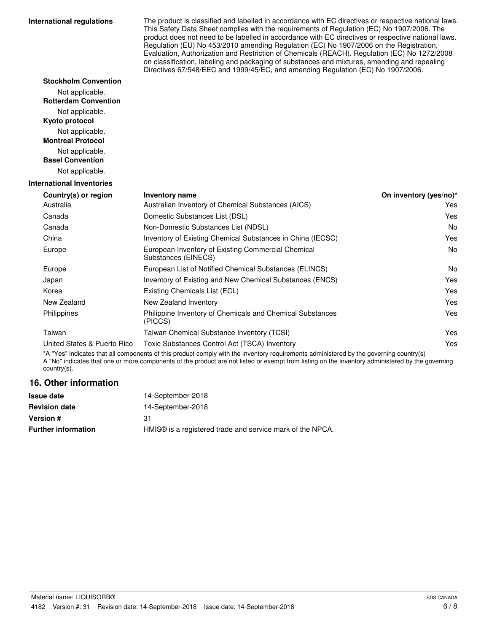#### **International regulations**

**Stockholm Convention** Not applicable.

The product is classified and labelled in accordance with EC directives or respective national laws. This Safety Data Sheet complies with the requirements of Regulation (EC) No 1907/2006. The product does not need to be labelled in accordance with EC directives or respective national laws. Regulation (EU) No 453/2010 amending Regulation (EC) No 1907/2006 on the Registration, Evaluation, Authorization and Restriction of Chemicals (REACH). Regulation (EC) No 1272/2008 on classification, labeling and packaging of substances and mixtures, amending and repealing Directives 67/548/EEC and 1999/45/EC, and amending Regulation (EC) No 1907/2006.

| <b>Rotterdam Convention</b>      |                                                                           |                        |
|----------------------------------|---------------------------------------------------------------------------|------------------------|
| Not applicable.                  |                                                                           |                        |
| Kyoto protocol                   |                                                                           |                        |
| Not applicable.                  |                                                                           |                        |
| <b>Montreal Protocol</b>         |                                                                           |                        |
| Not applicable.                  |                                                                           |                        |
| <b>Basel Convention</b>          |                                                                           |                        |
| Not applicable.                  |                                                                           |                        |
| <b>International Inventories</b> |                                                                           |                        |
| Country(s) or region             | Inventory name                                                            | On inventory (yes/no)* |
| Australia                        | Australian Inventory of Chemical Substances (AICS)                        | <b>Yes</b>             |
| Canada                           | Domestic Substances List (DSL)                                            | Yes                    |
| Canada                           | Non-Domestic Substances List (NDSL)                                       | <b>No</b>              |
| China                            | Inventory of Existing Chemical Substances in China (IECSC)                | Yes                    |
| Europe                           | European Inventory of Existing Commercial Chemical<br>Substances (EINECS) | N <sub>0</sub>         |
| Europe                           | European List of Notified Chemical Substances (ELINCS)                    | No                     |
| Japan                            | Inventory of Existing and New Chemical Substances (ENCS)                  | Yes                    |
| Korea                            | Existing Chemicals List (ECL)                                             | Yes                    |
| New Zealand                      | New Zealand Inventory                                                     | Yes                    |
| Philippines                      | Philippine Inventory of Chemicals and Chemical Substances<br>(PICCS)      | Yes                    |
| Taiwan                           | Taiwan Chemical Substance Inventory (TCSI)                                | Yes                    |
| United States & Puerto Rico      | Toxic Substances Control Act (TSCA) Inventory                             | Yes                    |

\*A "Yes" indicates that all components of this product comply with the inventory requirements administered by the governing country(s) A "No" indicates that one or more components of the product are not listed or exempt from listing on the inventory administered by the governing country(s).

## **16. Other information**

| 14-September-2018                                                     |  |
|-----------------------------------------------------------------------|--|
| 14-September-2018                                                     |  |
| 31                                                                    |  |
| HMIS <sup>®</sup> is a registered trade and service mark of the NPCA. |  |
|                                                                       |  |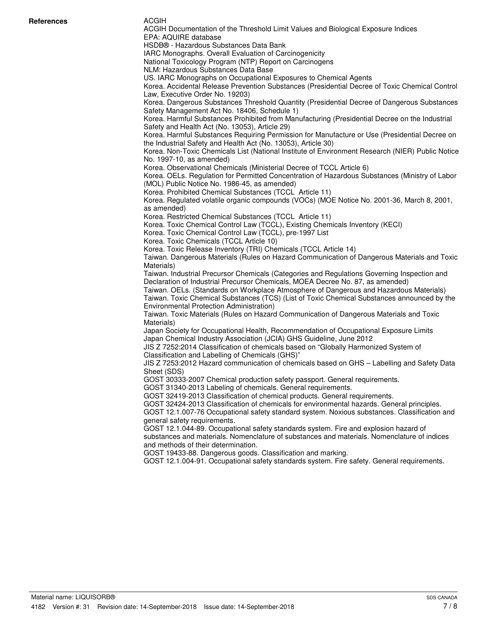#### ACGIH

ACGIH Documentation of the Threshold Limit Values and Biological Exposure Indices EPA: AQUIRE database HSDB® - Hazardous Substances Data Bank IARC Monographs. Overall Evaluation of Carcinogenicity National Toxicology Program (NTP) Report on Carcinogens NLM: Hazardous Substances Data Base US. IARC Monographs on Occupational Exposures to Chemical Agents Korea. Accidental Release Prevention Substances (Presidential Decree of Toxic Chemical Control Law, Executive Order No. 19203) Korea. Dangerous Substances Threshold Quantity (Presidential Decree of Dangerous Substances Safety Management Act No. 18406, Schedule 1) Korea. Harmful Substances Prohibited from Manufacturing (Presidential Decree on the Industrial Safety and Health Act (No. 13053), Article 29) Korea. Harmful Substances Requiring Permission for Manufacture or Use (Presidential Decree on the Industrial Safety and Health Act (No. 13053), Article 30) Korea. Non-Toxic Chemicals List (National Institute of Environment Research (NIER) Public Notice No. 1997-10, as amended) Korea. Observational Chemicals (Ministerial Decree of TCCL Article 6) Korea. OELs. Regulation for Permitted Concentration of Hazardous Substances (Ministry of Labor (MOL) Public Notice No. 1986-45, as amended) Korea. Prohibited Chemical Substances (TCCL Article 11) Korea. Regulated volatile organic compounds (VOCs) (MOE Notice No. 2001-36, March 8, 2001, as amended) Korea. Restricted Chemical Substances (TCCL Article 11) Korea. Toxic Chemical Control Law (TCCL), Existing Chemicals Inventory (KECI) Korea. Toxic Chemical Control Law (TCCL), pre-1997 List Korea. Toxic Chemicals (TCCL Article 10) Korea. Toxic Release Inventory (TRI) Chemicals (TCCL Article 14) Taiwan. Dangerous Materials (Rules on Hazard Communication of Dangerous Materials and Toxic Materials) Taiwan. Industrial Precursor Chemicals (Categories and Regulations Governing Inspection and Declaration of Industrial Precursor Chemicals, MOEA Decree No. 87, as amended) Taiwan. OELs. (Standards on Workplace Atmosphere of Dangerous and Hazardous Materials) Taiwan. Toxic Chemical Substances (TCS) (List of Toxic Chemical Substances announced by the Environmental Protection Administration) Taiwan. Toxic Materials (Rules on Hazard Communication of Dangerous Materials and Toxic Materials) Japan Society for Occupational Health, Recommendation of Occupational Exposure Limits Japan Chemical Industry Association (JCIA) GHS Guideline, June 2012 JIS Z 7252:2014 Classification of chemicals based on "Globally Harmonized System of Classification and Labelling of Chemicals (GHS)" JIS Z 7253:2012 Hazard communication of chemicals based on GHS – Labelling and Safety Data Sheet (SDS) GOST 30333-2007 Chemical production safety passport. General requirements. GOST 31340-2013 Labeling of chemicals. General requirements. GOST 32419-2013 Classification of chemical products. General requirements. GOST 32424-2013 Classification of chemicals for environmental hazards. General principles. GOST 12.1.007-76 Occupational safety standard system. Noxious substances. Classification and general safety requirements. GOST 12.1.044-89. Occupational safety standards system. Fire and explosion hazard of substances and materials. Nomenclature of substances and materials. Nomenclature of indices and methods of their determination. GOST 19433-88. Dangerous goods. Classification and marking. GOST 12.1.004-91. Occupational safety standards system. Fire safety. General requirements.